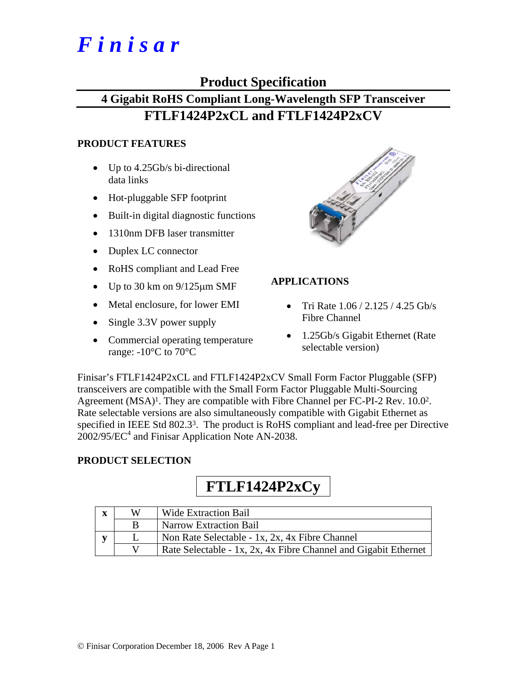# *F i n i s a r*

## **Product Specification**

# **4 Gigabit RoHS Compliant Long-Wavelength SFP Transceiver FTLF1424P2xCL and FTLF1424P2xCV**

### **PRODUCT FEATURES**

- Up to 4.25Gb/s bi-directional data links
- Hot-pluggable SFP footprint
- Built-in digital diagnostic functions
- 1310nm DFB laser transmitter
- Duplex LC connector
- RoHS compliant and Lead Free
- Up to 30 km on  $9/125 \mu m$  SMF
- Metal enclosure, for lower EMI
- Single 3.3V power supply
- Commercial operating temperature range:  $-10^{\circ}$ C to 70 $^{\circ}$ C



## **APPLICATIONS**

- Tri Rate  $1.06 / 2.125 / 4.25$  Gb/s Fibre Channel
- 1.25Gb/s Gigabit Ethernet (Rate selectable version)

Finisar's FTLF1424P2xCL and FTLF1424P2xCV Small Form Factor Pluggable (SFP) transceivers are compatible with the Small Form Factor Pluggable Multi-Sourcing Agreement  $(MSA)^1$ . They are compatible with Fibre Channel per FC-PI-2 Rev. 10.0<sup>2</sup>. Rate selectable versions are also simultaneously compatible with Gigabit Ethernet as specified in IEEE Std 802.3<sup>3</sup>. The product is RoHS compliant and lead-free per Directive  $2002/95/EC^4$  and Finisar Application Note AN-2038.

## **PRODUCT SELECTION**

# **FTLF1424P2xCy**

| $\overline{\mathbf{X}}$ | W | <b>Wide Extraction Bail</b>                                     |
|-------------------------|---|-----------------------------------------------------------------|
|                         |   | <b>Narrow Extraction Bail</b>                                   |
|                         |   | Non Rate Selectable - 1x, 2x, 4x Fibre Channel                  |
|                         |   | Rate Selectable - 1x, 2x, 4x Fibre Channel and Gigabit Ethernet |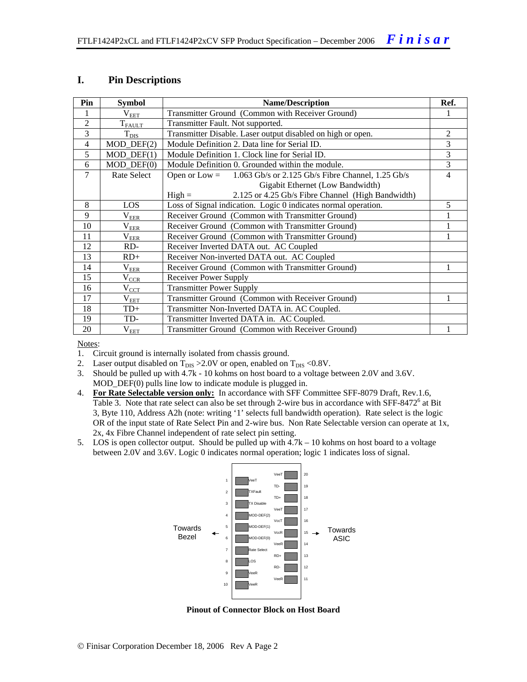#### **I. Pin Descriptions**

| Pin            | <b>Symbol</b>                 | <b>Name/Description</b>                                              |                |  |  |  |  |
|----------------|-------------------------------|----------------------------------------------------------------------|----------------|--|--|--|--|
| 1              | $\rm V_{EET}$                 | Transmitter Ground (Common with Receiver Ground)                     |                |  |  |  |  |
| $\overline{2}$ | $T_{\text{FALLT}}$            | Transmitter Fault. Not supported.                                    |                |  |  |  |  |
| 3              | $T_{\rm DIS}$                 | Transmitter Disable. Laser output disabled on high or open.          | $\overline{2}$ |  |  |  |  |
| $\overline{4}$ | $MOD_$ DEF(2)                 | Module Definition 2. Data line for Serial ID.                        | 3              |  |  |  |  |
| 5              | $MOD_$ <del>DEF</del> $(1)$   | Module Definition 1. Clock line for Serial ID.                       | 3              |  |  |  |  |
| 6              | $MOD$ $DEF(0)$                | Module Definition 0. Grounded within the module.                     | 3              |  |  |  |  |
| 7              | Rate Select                   | 1.063 Gb/s or 2.125 Gb/s Fibre Channel, 1.25 Gb/s<br>Open or $Low =$ | $\overline{4}$ |  |  |  |  |
|                |                               | Gigabit Ethernet (Low Bandwidth)                                     |                |  |  |  |  |
|                |                               | 2.125 or 4.25 Gb/s Fibre Channel (High Bandwidth)<br>$High =$        |                |  |  |  |  |
| 8              | <b>LOS</b>                    | Loss of Signal indication. Logic 0 indicates normal operation.       | 5              |  |  |  |  |
| 9              | V <sub>EER</sub>              | Receiver Ground (Common with Transmitter Ground)                     |                |  |  |  |  |
| 10             | $\rm V_{\rm EER}$             | Receiver Ground (Common with Transmitter Ground)                     |                |  |  |  |  |
| 11             | $\rm V_{\rm E\underline{E}R}$ | Receiver Ground (Common with Transmitter Ground)                     |                |  |  |  |  |
| 12             | RD-                           | Receiver Inverted DATA out. AC Coupled                               |                |  |  |  |  |
| 13             | $RD+$                         | Receiver Non-inverted DATA out. AC Coupled                           |                |  |  |  |  |
| 14             | $\rm V_{EER}$                 | Receiver Ground (Common with Transmitter Ground)                     | 1              |  |  |  |  |
| 15             | $V_{\underline{CCR}}$         | Receiver Power Supply                                                |                |  |  |  |  |
| 16             | $\rm V_{CCT}$                 | <b>Transmitter Power Supply</b>                                      |                |  |  |  |  |
| 17             | $\rm V_{EET}$                 | Transmitter Ground (Common with Receiver Ground)                     | 1              |  |  |  |  |
| 18             | $TD+$                         | Transmitter Non-Inverted DATA in. AC Coupled.                        |                |  |  |  |  |
| 19             | TD-                           | Transmitter Inverted DATA in. AC Coupled.                            |                |  |  |  |  |
| 20             | $V_{EET}$                     | Transmitter Ground (Common with Receiver Ground)                     |                |  |  |  |  |

Notes:

- 1. Circuit ground is internally isolated from chassis ground.
- 2. Laser output disabled on  $T_{DIS} > 2.0V$  or open, enabled on  $T_{DIS} < 0.8V$ .
- 3. Should be pulled up with 4.7k 10 kohms on host board to a voltage between 2.0V and 3.6V. MOD\_DEF(0) pulls line low to indicate module is plugged in.
- 4. **For Rate Selectable version only:** In accordance with SFF Committee SFF-8079 Draft, Rev.1.6, Table 3. Note that rate select can also be set through 2-wire bus in accordance with SFF-8472<sup>6</sup> at Bit 3, Byte 110, Address A2h (note: writing '1' selects full bandwidth operation). Rate select is the logic OR of the input state of Rate Select Pin and 2-wire bus. Non Rate Selectable version can operate at 1x, 2x, 4x Fibre Channel independent of rate select pin setting.
- 5. LOS is open collector output. Should be pulled up with 4.7k 10 kohms on host board to a voltage between 2.0V and 3.6V. Logic 0 indicates normal operation; logic 1 indicates loss of signal.



**Pinout of Connector Block on Host Board**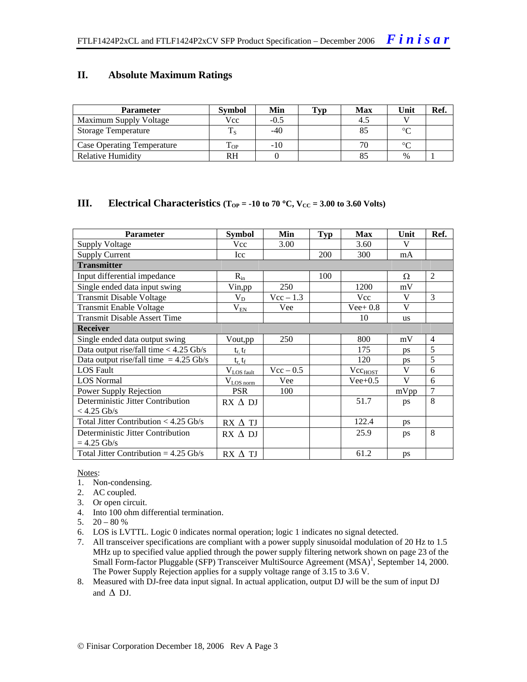#### **II. Absolute Maximum Ratings**

| <b>Parameter</b>                  | <b>Symbol</b> | Min    | Tvp | <b>Max</b> | Unit   | Ref. |
|-----------------------------------|---------------|--------|-----|------------|--------|------|
| Maximum Supply Voltage            | Vcc           | $-0.5$ |     | -4.5       |        |      |
| <b>Storage Temperature</b>        |               | $-40$  |     |            | $\sim$ |      |
| <b>Case Operating Temperature</b> | L OP          | $-10$  |     |            | $\sim$ |      |
| Relative Humidity                 | RH            |        |     |            | $\%$   |      |

#### **III.** Electrical Characteristics ( $T_{OP} = -10$  to 70 °C,  $V_{CC} = 3.00$  to 3.60 Volts)

| <b>Parameter</b>                         | Symbol            | Min         | <b>Typ</b> | <b>Max</b>          | Unit      | Ref.           |
|------------------------------------------|-------------------|-------------|------------|---------------------|-----------|----------------|
| <b>Supply Voltage</b>                    | Vcc               | 3.00        |            | 3.60                | V         |                |
| <b>Supply Current</b>                    | Icc               |             | 200        | 300                 | mA        |                |
| <b>Transmitter</b>                       |                   |             |            |                     |           |                |
| Input differential impedance             | $R_{in}$          |             | 100        |                     | Ω         | 2              |
| Single ended data input swing            | Vin,pp            | 250         |            | 1200                | mV        |                |
| <b>Transmit Disable Voltage</b>          | $V_D$             | $Vec-1.3$   |            | Vcc                 | V         | 3              |
| <b>Transmit Enable Voltage</b>           | $\rm V_{\rm EM}$  | Vee         |            | $Vee+0.8$           | V         |                |
| <b>Transmit Disable Assert Time</b>      |                   |             |            | 10                  | <b>us</b> |                |
| <b>Receiver</b>                          |                   |             |            |                     |           |                |
| Single ended data output swing           | Vout,pp           | 250         |            | 800                 | mV        | $\overline{4}$ |
| Data output rise/fall time $<$ 4.25 Gb/s | $t_r$ , $t_f$     |             |            | 175                 | <b>DS</b> | 5              |
| Data output rise/fall time $= 4.25$ Gb/s | $t_{r}$ , $t_{f}$ |             |            | 120                 | ps        | 5              |
| <b>LOS Fault</b>                         | $V_{LOS fault}$   | $Vec - 0.5$ |            | Vec <sub>HOST</sub> | V         | 6              |
| <b>LOS</b> Normal                        | $V_{LOS\,norm}$   | Vee         |            | $Vee+0.5$           | V         | 6              |
| Power Supply Rejection                   | <b>PSR</b>        | 100         |            |                     | mVpp      | $\overline{7}$ |
| Deterministic Jitter Contribution        | $RX \Delta DI$    |             |            | 51.7                | ps        | 8              |
| $<$ 4.25 Gb/s                            |                   |             |            |                     |           |                |
| Total Jitter Contribution $<$ 4.25 Gb/s  | $RX \Delta TI$    |             |            | 122.4               | ps        |                |
| Deterministic Jitter Contribution        | $RX \wedge DI$    |             |            | 25.9                | ps        | 8              |
| $= 4.25$ Gb/s                            |                   |             |            |                     |           |                |
| Total Jitter Contribution = $4.25$ Gb/s  | $RX \wedge TI$    |             |            | 61.2                | ps        |                |

#### Notes:

- 1. Non-condensing.
- 2. AC coupled.
- 3. Or open circuit.
- 4. Into 100 ohm differential termination.
- 5.  $20 80 %$
- 6. LOS is LVTTL. Logic 0 indicates normal operation; logic 1 indicates no signal detected.
- 7. All transceiver specifications are compliant with a power supply sinusoidal modulation of 20 Hz to 1.5 MHz up to specified value applied through the power supply filtering network shown on page 23 of the Small Form-factor Pluggable (SFP) Transceiver MultiSource Agreement (MSA)<sup>1</sup>, September 14, 2000. The Power Supply Rejection applies for a supply voltage range of 3.15 to 3.6 V.
- 8. Measured with DJ-free data input signal. In actual application, output DJ will be the sum of input DJ and  $\Delta$  DJ.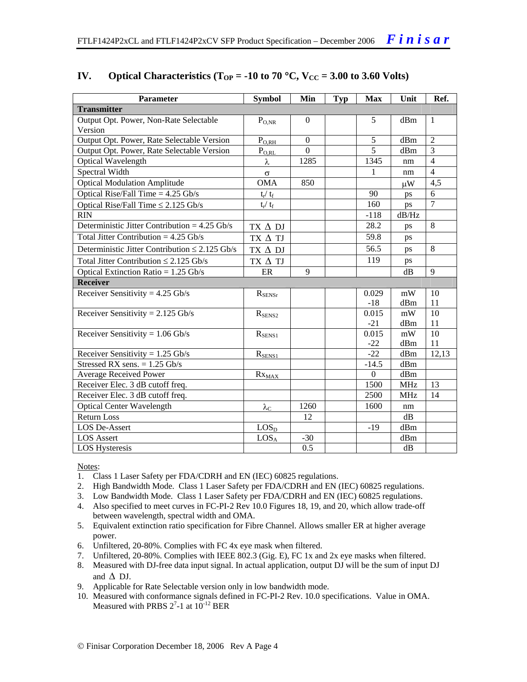| <b>Parameter</b>                                    | <b>Symbol</b>           | Min              | <b>Typ</b> | <b>Max</b>       | Unit       | Ref.           |
|-----------------------------------------------------|-------------------------|------------------|------------|------------------|------------|----------------|
| <b>Transmitter</b>                                  |                         |                  |            |                  |            |                |
| Output Opt. Power, Non-Rate Selectable              | $P_{O.NR}$              | $\Omega$         |            | 5                | dBm        | $\mathbf{1}$   |
| Version                                             |                         |                  |            |                  |            |                |
| Output Opt. Power, Rate Selectable Version          | $P_{\text{O,RH}}$       | $\boldsymbol{0}$ |            | 5                | dBm        | $\overline{2}$ |
| Output Opt. Power, Rate Selectable Version          | $P_{O,RL}$              | $\overline{0}$   |            | 5                | dBm        | 3              |
| Optical Wavelength                                  | λ                       | 1285             |            | 1345             | nm         | $\overline{4}$ |
| Spectral Width                                      | $\sigma$                |                  |            | 1                | nm         | $\overline{4}$ |
| <b>Optical Modulation Amplitude</b>                 | <b>OMA</b>              | 850              |            |                  | $\mu$ W    | 4,5            |
| Optical Rise/Fall Time $= 4.25$ Gb/s                | $t_{\rm r} / t_{\rm f}$ |                  |            | 90               | ps         | 6              |
| Optical Rise/Fall Time $\leq$ 2.125 Gb/s            | $t_r / t_f$             |                  |            | 160              | ps         | $\overline{7}$ |
| <b>RIN</b>                                          |                         |                  |            | $-118$           | dB/Hz      |                |
| Deterministic Jitter Contribution = $4.25$ Gb/s     | TX $\Delta$ DJ          |                  |            | 28.2             | ps         | 8              |
| Total Jitter Contribution = $4.25$ Gb/s             | TX $\Delta$ TJ          |                  |            | 59.8             | ps         |                |
| Deterministic Jitter Contribution $\leq 2.125$ Gb/s | $TX \Delta DI$          |                  |            | 56.5             | ps         | 8              |
| Total Jitter Contribution $\leq 2.125$ Gb/s         | TX $\Delta$ TJ          |                  |            | 119              | ps         |                |
| Optical Extinction Ratio = $1.25$ Gb/s              | ER                      | 9                |            |                  | dB         | 9              |
| <b>Receiver</b>                                     |                         |                  |            |                  |            |                |
| Receiver Sensitivity = $4.25$ Gb/s                  | $R_{\text{SENSr}}$      |                  |            | 0.029            | mW         | 10             |
|                                                     |                         |                  |            | $-18$            | dBm        | 11             |
| Receiver Sensitivity = $2.125$ Gb/s                 | $R_{SENS2}$             |                  |            | 0.015            | mW         | 10             |
|                                                     |                         |                  |            | $-21$            | dBm        | 11             |
| Receiver Sensitivity = $1.06$ Gb/s                  | $R_{SENS1}$             |                  |            | 0.015            | mW         | 10             |
|                                                     |                         |                  |            | $-22$            | dBm        | 11             |
| Receiver Sensitivity = $1.25$ Gb/s                  | $R_{SENS1}$             |                  |            | $-22$            | dBm        | 12,13          |
| Stressed RX sens. $= 1.25$ Gb/s                     |                         |                  |            | $-14.5$          | dBm        |                |
| <b>Average Received Power</b>                       | $Rx_{MAX}$              |                  |            | $\boldsymbol{0}$ | dBm        |                |
| Receiver Elec. 3 dB cutoff freq.                    |                         |                  |            | 1500             | <b>MHz</b> | 13             |
| Receiver Elec. 3 dB cutoff freq.                    |                         |                  |            | 2500             | <b>MHz</b> | 14             |
| <b>Optical Center Wavelength</b>                    | $\lambda_{\rm C}$       | 1260             |            | 1600             | nm         |                |
| Return Loss                                         |                         | 12               |            |                  | dB         |                |
| <b>LOS De-Assert</b>                                | LOS <sub>D</sub>        |                  |            | $-19$            | dBm        |                |
| <b>LOS Assert</b>                                   | LOS <sub>A</sub>        | $-30$            |            |                  | dBm        |                |
| <b>LOS Hysteresis</b>                               |                         | 0.5              |            |                  | dB         |                |

## **IV.** Optical Characteristics ( $T_{OP} = -10$  to 70 °C,  $V_{CC} = 3.00$  to 3.60 Volts)

Notes:

- 1. Class 1 Laser Safety per FDA/CDRH and EN (IEC) 60825 regulations.
- 2. High Bandwidth Mode. Class 1 Laser Safety per FDA/CDRH and EN (IEC) 60825 regulations.
- 3. Low Bandwidth Mode. Class 1 Laser Safety per FDA/CDRH and EN (IEC) 60825 regulations.
- 4. Also specified to meet curves in FC-PI-2 Rev 10.0 Figures 18, 19, and 20, which allow trade-off between wavelength, spectral width and OMA.
- 5. Equivalent extinction ratio specification for Fibre Channel. Allows smaller ER at higher average power.
- 6. Unfiltered, 20-80%. Complies with FC 4x eye mask when filtered.
- 7. Unfiltered, 20-80%. Complies with IEEE 802.3 (Gig. E), FC 1x and 2x eye masks when filtered.
- 8. Measured with DJ-free data input signal. In actual application, output DJ will be the sum of input DJ and  $\Delta$  DJ.
- 9. Applicable for Rate Selectable version only in low bandwidth mode.
- 10. Measured with conformance signals defined in FC-PI-2 Rev. 10.0 specifications. Value in OMA. Measured with PRBS  $2^7$ -1 at  $10^{-12}$  BER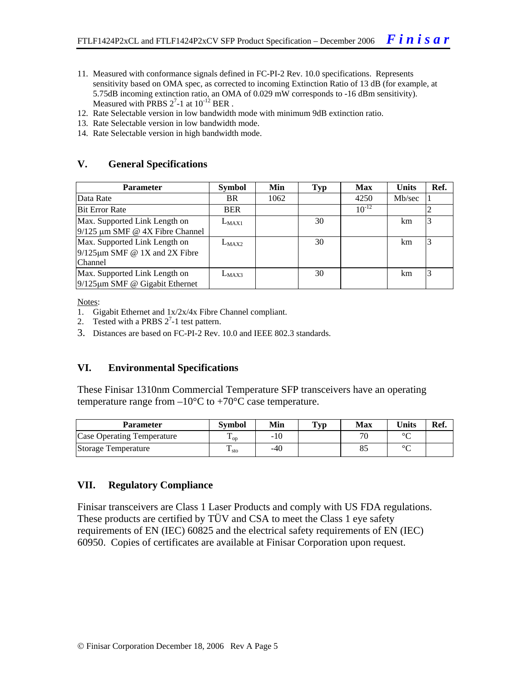- 11. Measured with conformance signals defined in FC-PI-2 Rev. 10.0 specifications. Represents sensitivity based on OMA spec, as corrected to incoming Extinction Ratio of 13 dB (for example, at 5.75dB incoming extinction ratio, an OMA of 0.029 mW corresponds to -16 dBm sensitivity). Measured with PRBS  $2^7$ -1 at  $10^{-12}$  BER.
- 12. Rate Selectable version in low bandwidth mode with minimum 9dB extinction ratio.
- 13. Rate Selectable version in low bandwidth mode.
- 14. Rate Selectable version in high bandwidth mode.

#### **V. General Specifications**

| <b>Parameter</b>                     | <b>Symbol</b> | Min  | Typ | <b>Max</b> | <b>Units</b> | Ref. |
|--------------------------------------|---------------|------|-----|------------|--------------|------|
| Data Rate                            | <b>BR</b>     | 1062 |     | 4250       | Mb/sec       |      |
| <b>Bit Error Rate</b>                | <b>BER</b>    |      |     | $10^{-12}$ |              |      |
| Max. Supported Link Length on        | $L_{MAX1}$    |      | 30  |            | km           |      |
| $9/125$ µm SMF @ 4X Fibre Channel    |               |      |     |            |              |      |
| Max. Supported Link Length on        | $L_{MAX2}$    |      | 30  |            | km           | 3    |
| $9/125 \mu m$ SMF @ 1X and 2X Fibre  |               |      |     |            |              |      |
| Channel                              |               |      |     |            |              |      |
| Max. Supported Link Length on        | $L_{MAX3}$    |      | 30  |            | km           | 3    |
| $9/125 \mu m$ SMF @ Gigabit Ethernet |               |      |     |            |              |      |

Notes:

- 1. Gigabit Ethernet and 1x/2x/4x Fibre Channel compliant.
- 2. Tested with a PRBS  $2^7$ -1 test pattern.
- 3. Distances are based on FC-PI-2 Rev. 10.0 and IEEE 802.3 standards.

#### **VI. Environmental Specifications**

These Finisar 1310nm Commercial Temperature SFP transceivers have an operating temperature range from  $-10^{\circ}$ C to  $+70^{\circ}$ C case temperature.

| Parameter                         | <b>Symbol</b>           | Min | <b>Typ</b> | <b>Max</b> | Units  | Ref. |
|-----------------------------------|-------------------------|-----|------------|------------|--------|------|
| <b>Case Operating Temperature</b> | ᠇᠇<br>$\mathbf{1}_{OD}$ | -10 |            | 70         | $\sim$ |      |
| Storage Temperature               | ᠇<br>$\frac{1}{1}$ sto  | -40 |            |            | $\sim$ |      |

#### **VII. Regulatory Compliance**

Finisar transceivers are Class 1 Laser Products and comply with US FDA regulations. These products are certified by TÜV and CSA to meet the Class 1 eye safety requirements of EN (IEC) 60825 and the electrical safety requirements of EN (IEC) 60950. Copies of certificates are available at Finisar Corporation upon request.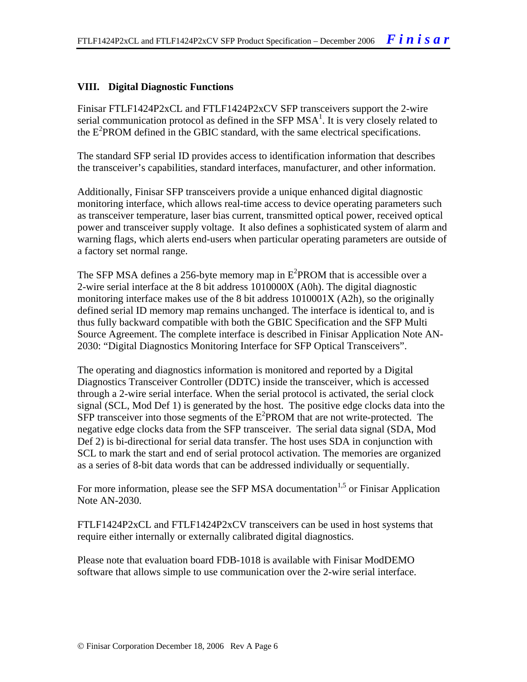#### **VIII. Digital Diagnostic Functions**

Finisar FTLF1424P2xCL and FTLF1424P2xCV SFP transceivers support the 2-wire serial communication protocol as defined in the SFP  $MSA<sup>1</sup>$ . It is very closely related to the E<sup>2</sup>PROM defined in the GBIC standard, with the same electrical specifications.

The standard SFP serial ID provides access to identification information that describes the transceiver's capabilities, standard interfaces, manufacturer, and other information.

Additionally, Finisar SFP transceivers provide a unique enhanced digital diagnostic monitoring interface, which allows real-time access to device operating parameters such as transceiver temperature, laser bias current, transmitted optical power, received optical power and transceiver supply voltage. It also defines a sophisticated system of alarm and warning flags, which alerts end-users when particular operating parameters are outside of a factory set normal range.

The SFP MSA defines a 256-byte memory map in  $E^2$ PROM that is accessible over a 2-wire serial interface at the 8 bit address 1010000X (A0h). The digital diagnostic monitoring interface makes use of the 8 bit address 1010001X (A2h), so the originally defined serial ID memory map remains unchanged. The interface is identical to, and is thus fully backward compatible with both the GBIC Specification and the SFP Multi Source Agreement. The complete interface is described in Finisar Application Note AN-2030: "Digital Diagnostics Monitoring Interface for SFP Optical Transceivers".

The operating and diagnostics information is monitored and reported by a Digital Diagnostics Transceiver Controller (DDTC) inside the transceiver, which is accessed through a 2-wire serial interface. When the serial protocol is activated, the serial clock signal (SCL, Mod Def 1) is generated by the host. The positive edge clocks data into the  $SFP$  transceiver into those segments of the  $E^2$ PROM that are not write-protected. The negative edge clocks data from the SFP transceiver. The serial data signal (SDA, Mod Def 2) is bi-directional for serial data transfer. The host uses SDA in conjunction with SCL to mark the start and end of serial protocol activation. The memories are organized as a series of 8-bit data words that can be addressed individually or sequentially.

For more information, please see the SFP MSA documentation<sup>1,5</sup> or Finisar Application Note AN-2030.

FTLF1424P2xCL and FTLF1424P2xCV transceivers can be used in host systems that require either internally or externally calibrated digital diagnostics.

Please note that evaluation board FDB-1018 is available with Finisar ModDEMO software that allows simple to use communication over the 2-wire serial interface.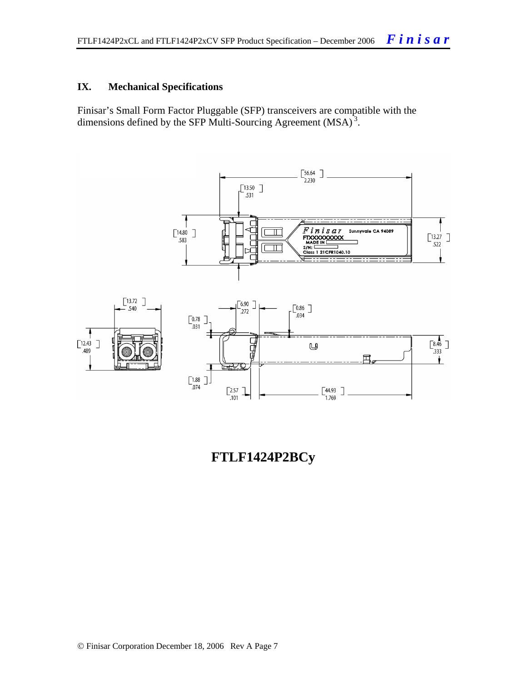#### **IX. Mechanical Specifications**

Finisar's Small Form Factor Pluggable (SFP) transceivers are compatible with the dimensions defined by the SFP Multi-Sourcing Agreement (MSA)<sup>3</sup>.



**FTLF1424P2BCy**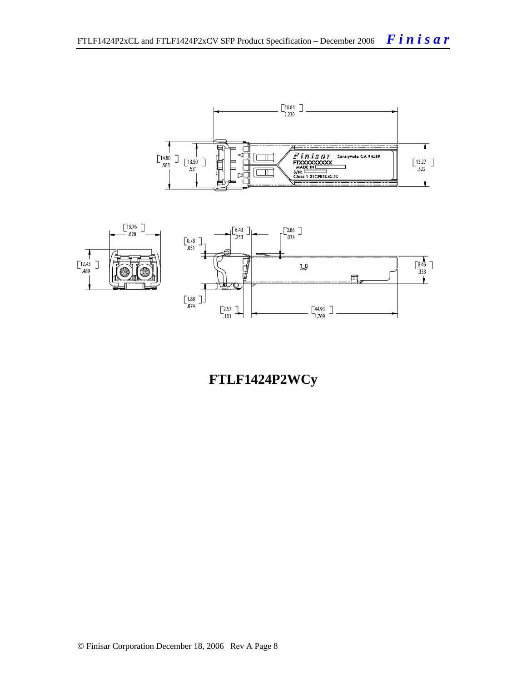

**FTLF1424P2WCy**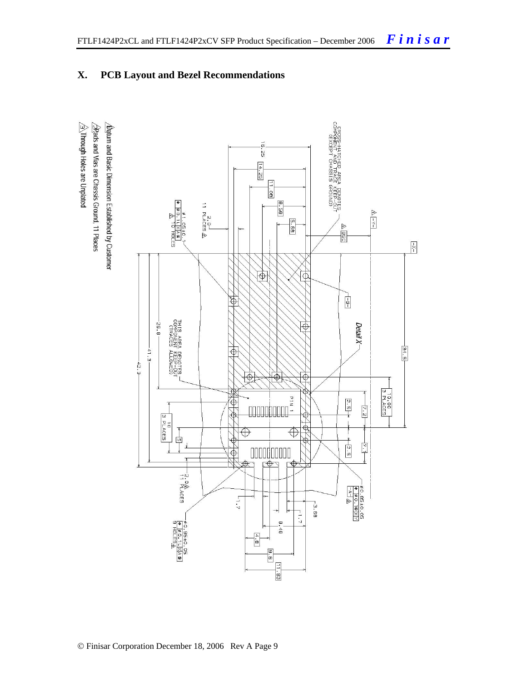#### CROSS-HATCHED AREA DENOTES<br>COMPONENT AND TRACE KEEP-OU<br>COMPONENT CHASSIS GROUND)  $\overline{\mathfrak{g}}$  $\mathbb{S}$  $\frac{14.25}{7}$  $\frac{11.08}{11}$ 8.58 2.o<sup>⊥</sup><br>11 PLACES <u>&</u>  $\Delta$  -Y-1 BB.5 L|X|A®|<br>10 HOLES  $0 = 50$  $\triangleright$ BSC  $\boxed{\frac{1}{\lambda}}$  $\overline{\Theta}$ क्रि  $\frac{1}{\sqrt{2}}$  $\overline{\mathfrak{G}}$ THIS AREA DENOTES<br>COMPONENT KEEP-OU<br>CTRACES ALLOWED) -26.8  $\overline{\Phi}$ Detail X- $\frac{1}{24.5}$  $-41.3 -$ </u>  $-42.3$  $\overline{\bigoplus}$  $\overline{\Phi}$  $\Phi$  $\frac{10.00}{3 \text{ PLACES}}$  $rac{2.5}{7}$ Ф  $\frac{1}{2}$ ₩  $\overline{\omega}$ 10<br>PLACES  $\frac{1}{2}$  $\overline{\bigoplus}$  $\oplus$ 中  $+5.2$ Ē 소 000000000<br>sp<del>\$s</del>p  $\overline{\bigoplus}$ гФ -2.0<br>-11 PLACES  $-$  # 0.85 = 0.05<br>  $+$  0.10 XX<br>  $-$  A 3  $1.7$  $-3.68$ ₩  $\frac{1}{2}$ P#0.95±0.<br>|<del>0</del><br>|<del>0</del> ||0\_ES<u>A</u>  $\infty$  $48$  $\begin{bmatrix} 4.6 \\ -1 \end{bmatrix}$  $\frac{1}{\frac{1}{2}}$  $\frac{8.6}{8}$  $\frac{[11, 93]}{[11, 93]}$

## **X. PCB Layout and Bezel Recommendations**

 $\hat{\triangle}$ Through Holes are Unplated  $\sqrt{2}$ Rads and Vias are Chassis Ground, 11 Places  $\Delta$ atum and Basic Dimension Established by Customer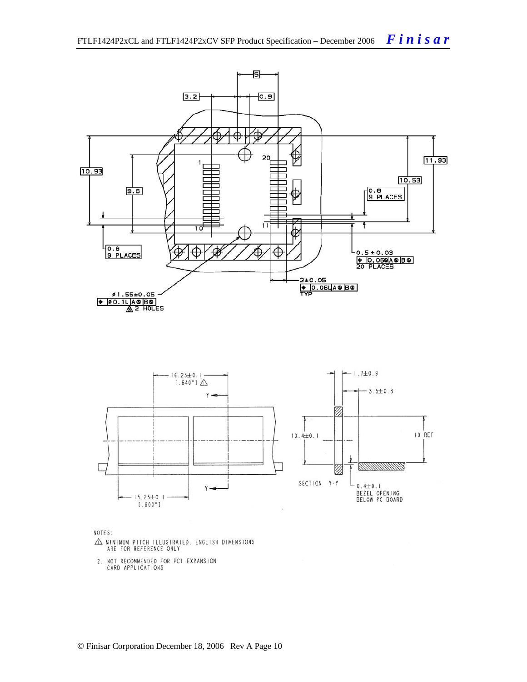

NOTES:

- $\triangle$  MINIMUM PITCH ILLUSTRATED, ENGLISH DIMENSIONS ARE FOR REFERENCE ONLY
- 2. NOT RECOMMENDED FOR PCI EXPANSION<br>CARD APPLICATIONS